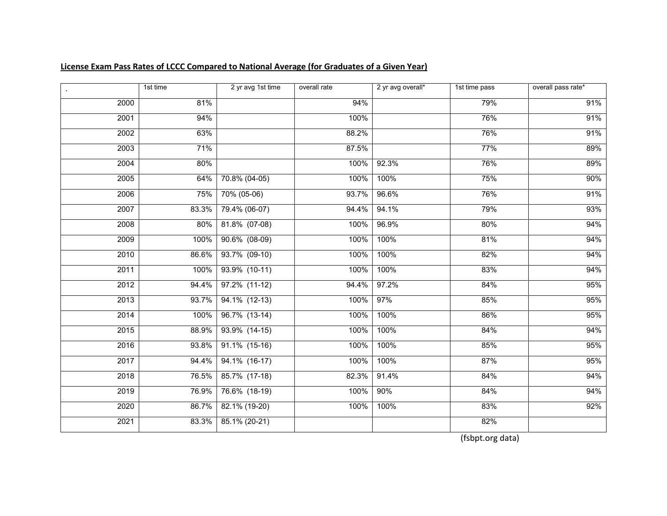|      | 1st time | 2 yr avg 1st time | overall rate | 2 yr avg overall* | 1st time pass | overall pass rate* |
|------|----------|-------------------|--------------|-------------------|---------------|--------------------|
| 2000 | 81%      |                   | 94%          |                   | 79%           | 91%                |
| 2001 | 94%      |                   | 100%         |                   | 76%           | 91%                |
| 2002 | 63%      |                   | 88.2%        |                   | 76%           | 91%                |
| 2003 | 71%      |                   | 87.5%        |                   | 77%           | 89%                |
| 2004 | 80%      |                   | 100%         | 92.3%             | 76%           | 89%                |
| 2005 | 64%      | 70.8% (04-05)     | 100%         | 100%              | 75%           | 90%                |
| 2006 | 75%      | 70% (05-06)       | 93.7%        | 96.6%             | 76%           | 91%                |
| 2007 | 83.3%    | 79.4% (06-07)     | 94.4%        | 94.1%             | 79%           | 93%                |
| 2008 | 80%      | 81.8% (07-08)     | 100%         | 96.9%             | 80%           | 94%                |
| 2009 | 100%     | $90.6\%$ (08-09)  | 100%         | 100%              | 81%           | 94%                |
| 2010 | 86.6%    | 93.7% (09-10)     | 100%         | 100%              | 82%           | 94%                |
| 2011 | 100%     | 93.9% (10-11)     | 100%         | 100%              | 83%           | 94%                |
| 2012 | 94.4%    | $97.2\%$ (11-12)  | 94.4%        | 97.2%             | 84%           | 95%                |
| 2013 | 93.7%    | $94.1\%$ (12-13)  | 100%         | 97%               | 85%           | 95%                |
| 2014 | 100%     | 96.7% (13-14)     | 100%         | 100%              | 86%           | 95%                |
| 2015 | 88.9%    | $93.9\%$ (14-15)  | 100%         | 100%              | 84%           | 94%                |
| 2016 | 93.8%    | 91.1% (15-16)     | 100%         | 100%              | 85%           | 95%                |
| 2017 | 94.4%    | 94.1% (16-17)     | 100%         | 100%              | 87%           | 95%                |
| 2018 | 76.5%    | 85.7% (17-18)     | 82.3%        | 91.4%             | 84%           | 94%                |
| 2019 | 76.9%    | 76.6% (18-19)     | 100%         | 90%               | 84%           | 94%                |
| 2020 | 86.7%    | 82.1% (19-20)     | 100%         | 100%              | 83%           | 92%                |
| 2021 | 83.3%    | 85.1% (20-21)     |              |                   | 82%           |                    |

## **License Exam Pass Rates of LCCC Compared to National Average (for Graduates of a Given Year)**

(fsbpt.org data)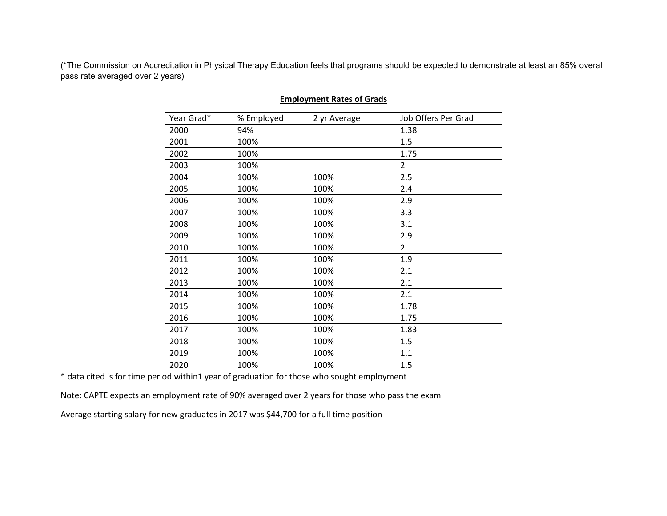(\*The Commission on Accreditation in Physical Therapy Education feels that programs should be expected to demonstrate at least an 85% overall pass rate averaged over 2 years)

| Year Grad* | % Employed | 2 yr Average | Job Offers Per Grad |
|------------|------------|--------------|---------------------|
| 2000       | 94%        |              | 1.38                |
| 2001       | 100%       |              | 1.5                 |
| 2002       | 100%       |              | 1.75                |
| 2003       | 100%       |              | $\overline{2}$      |
| 2004       | 100%       | 100%         | 2.5                 |
| 2005       | 100%       | 100%         | 2.4                 |
| 2006       | 100%       | 100%         | 2.9                 |
| 2007       | 100%       | 100%         | 3.3                 |
| 2008       | 100%       | 100%         | 3.1                 |
| 2009       | 100%       | 100%         | 2.9                 |
| 2010       | 100%       | 100%         | $\overline{2}$      |
| 2011       | 100%       | 100%         | 1.9                 |
| 2012       | 100%       | 100%         | 2.1                 |
| 2013       | 100%       | 100%         | 2.1                 |
| 2014       | 100%       | 100%         | 2.1                 |
| 2015       | 100%       | 100%         | 1.78                |
| 2016       | 100%       | 100%         | 1.75                |
| 2017       | 100%       | 100%         | 1.83                |
| 2018       | 100%       | 100%         | 1.5                 |
| 2019       | 100%       | 100%         | 1.1                 |
| 2020       | 100%       | 100%         | 1.5                 |

#### **Employment Rates of Grads**

\* data cited is for time period within1 year of graduation for those who sought employment

Note: CAPTE expects an employment rate of 90% averaged over 2 years for those who pass the exam

Average starting salary for new graduates in 2017 was \$44,700 for a full time position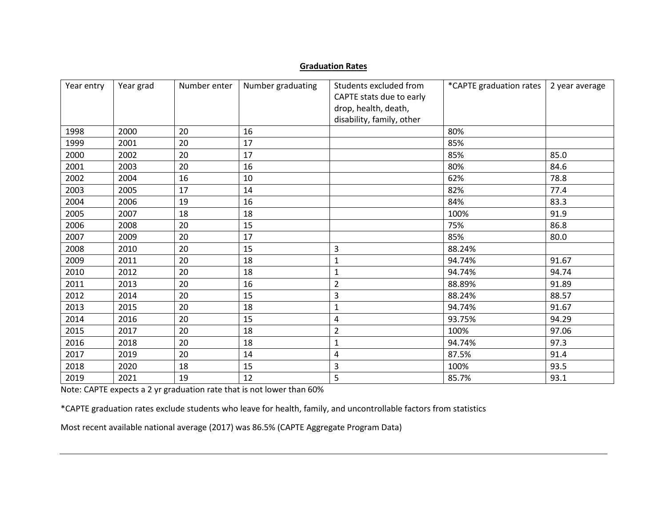#### **Graduation Rates**

| Year entry | Year grad | Number enter | Number graduating | Students excluded from<br>CAPTE stats due to early<br>drop, health, death,<br>disability, family, other | *CAPTE graduation rates | 2 year average |
|------------|-----------|--------------|-------------------|---------------------------------------------------------------------------------------------------------|-------------------------|----------------|
| 1998       | 2000      | 20           | 16                |                                                                                                         | 80%                     |                |
| 1999       | 2001      | 20           | 17                |                                                                                                         | 85%                     |                |
| 2000       | 2002      | 20           | 17                |                                                                                                         | 85%                     | 85.0           |
| 2001       | 2003      | 20           | 16                |                                                                                                         | 80%                     | 84.6           |
| 2002       | 2004      | 16           | 10                |                                                                                                         | 62%                     | 78.8           |
| 2003       | 2005      | 17           | 14                |                                                                                                         | 82%                     | 77.4           |
| 2004       | 2006      | 19           | 16                |                                                                                                         | 84%                     | 83.3           |
| 2005       | 2007      | 18           | 18                |                                                                                                         | 100%                    | 91.9           |
| 2006       | 2008      | 20           | 15                |                                                                                                         | 75%                     | 86.8           |
| 2007       | 2009      | 20           | 17                |                                                                                                         | 85%                     | 80.0           |
| 2008       | 2010      | 20           | 15                | 3                                                                                                       | 88.24%                  |                |
|            |           |              |                   |                                                                                                         |                         |                |
| 2009       | 2011      | 20           | 18                | $\mathbf 1$                                                                                             | 94.74%                  | 91.67          |
| 2010       | 2012      | 20           | 18                | 1                                                                                                       | 94.74%                  | 94.74          |
| 2011       | 2013      | 20           | 16                | $\overline{2}$                                                                                          | 88.89%                  | 91.89          |
| 2012       | 2014      | 20           | 15                | 3                                                                                                       | 88.24%                  | 88.57          |
| 2013       | 2015      | 20           | 18                | $\mathbf{1}$                                                                                            | 94.74%                  | 91.67          |
| 2014       | 2016      | 20           | 15                | 4                                                                                                       | 93.75%                  | 94.29          |
| 2015       | 2017      | 20           | 18                | $\overline{2}$                                                                                          | 100%                    | 97.06          |
| 2016       | 2018      | 20           | 18                | $\mathbf 1$                                                                                             | 94.74%                  | 97.3           |
| 2017       | 2019      | 20           | 14                | 4                                                                                                       | 87.5%                   | 91.4           |
| 2018       | 2020      | 18           | 15                | 3                                                                                                       | 100%                    | 93.5           |
| 2019       | 2021      | 19           | 12                | 5                                                                                                       | 85.7%                   | 93.1           |

Note: CAPTE expects a 2 yr graduation rate that is not lower than 60%

\*CAPTE graduation rates exclude students who leave for health, family, and uncontrollable factors from statistics

Most recent available national average (2017) was 86.5% (CAPTE Aggregate Program Data)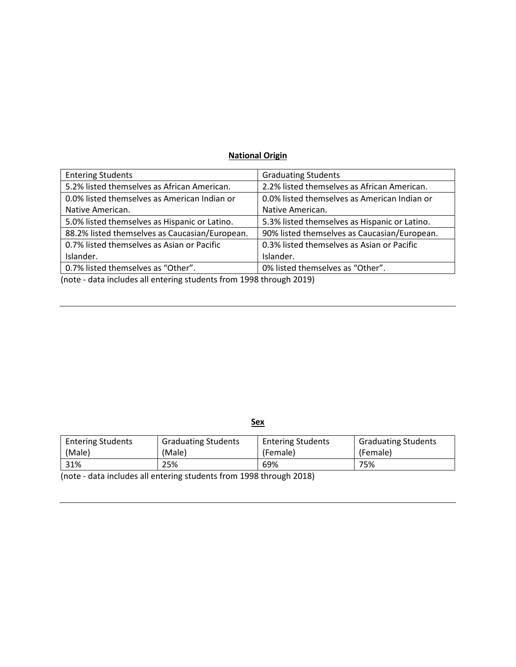# **National Origin**

| <b>Entering Students</b>                       | <b>Graduating Students</b>                    |
|------------------------------------------------|-----------------------------------------------|
| 5.2% listed themselves as African American.    | 2.2% listed themselves as African American.   |
| 0.0% listed themselves as American Indian or   | 0.0% listed themselves as American Indian or  |
| Native American.                               | Native American.                              |
| 5.0% listed themselves as Hispanic or Latino.  | 5.3% listed themselves as Hispanic or Latino. |
| 88.2% listed themselves as Caucasian/European. | 90% listed themselves as Caucasian/European.  |
| 0.7% listed themselves as Asian or Pacific     | 0.3% listed themselves as Asian or Pacific    |
| Islander.                                      | Islander.                                     |
| 0.7% listed themselves as "Other".             | 0% listed themselves as "Other".              |

(note - data includes all entering students from 1998 through 2019)

**Sex**

| <b>Entering Students</b> | <b>Graduating Students</b> | <b>Entering Students</b> | <b>Graduating Students</b> |
|--------------------------|----------------------------|--------------------------|----------------------------|
| (Male)                   | (Male)                     | (Female)                 | (Female)                   |
| 31%                      | 25%                        | 69%                      | 75%                        |

(note - data includes all entering students from 1998 through 2018)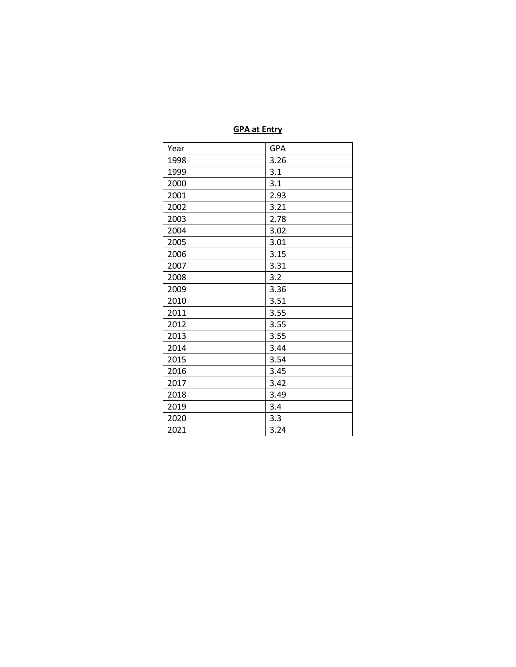## **GPA at Entry**

| Year | <b>GPA</b> |
|------|------------|
| 1998 | 3.26       |
| 1999 | 3.1        |
| 2000 | 3.1        |
| 2001 | 2.93       |
| 2002 | 3.21       |
| 2003 | 2.78       |
| 2004 | 3.02       |
| 2005 | 3.01       |
| 2006 | 3.15       |
| 2007 | 3.31       |
| 2008 | 3.2        |
| 2009 | 3.36       |
| 2010 | 3.51       |
| 2011 | 3.55       |
| 2012 | 3.55       |
| 2013 | 3.55       |
| 2014 | 3.44       |
| 2015 | 3.54       |
| 2016 | 3.45       |
| 2017 | 3.42       |
| 2018 | 3.49       |
| 2019 | 3.4        |
| 2020 | 3.3        |
| 2021 | 3.24       |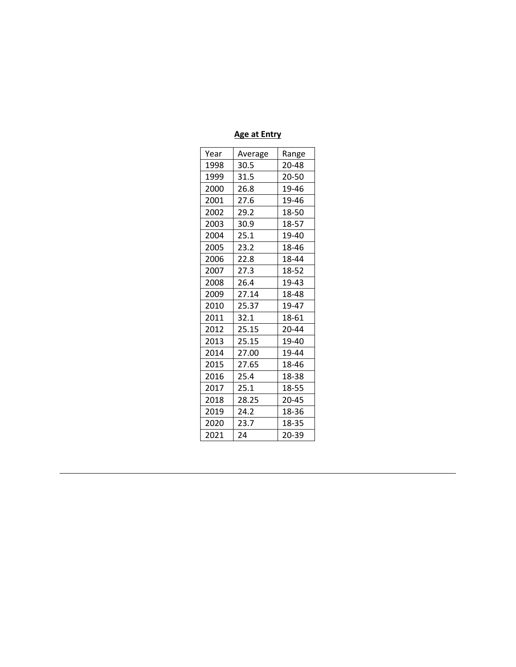## **Age at Entry**

| Year | Average | Range |
|------|---------|-------|
| 1998 | 30.5    | 20-48 |
| 1999 | 31.5    | 20-50 |
| 2000 | 26.8    | 19-46 |
| 2001 | 27.6    | 19-46 |
| 2002 | 29.2    | 18-50 |
| 2003 | 30.9    | 18-57 |
| 2004 | 25.1    | 19-40 |
| 2005 | 23.2    | 18-46 |
| 2006 | 22.8    | 18-44 |
| 2007 | 27.3    | 18-52 |
| 2008 | 26.4    | 19-43 |
| 2009 | 27.14   | 18-48 |
| 2010 | 25.37   | 19-47 |
| 2011 | 32.1    | 18-61 |
| 2012 | 25.15   | 20-44 |
| 2013 | 25.15   | 19-40 |
| 2014 | 27.00   | 19-44 |
| 2015 | 27.65   | 18-46 |
| 2016 | 25.4    | 18-38 |
| 2017 | 25.1    | 18-55 |
| 2018 | 28.25   | 20-45 |
| 2019 | 24.2    | 18-36 |
| 2020 | 23.7    | 18-35 |
| 2021 | 24      | 20-39 |